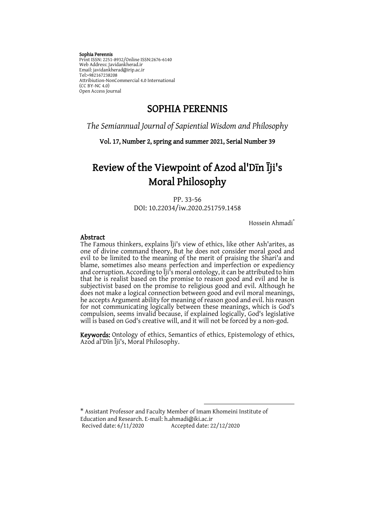#### Sophia Perennis

Print ISSN: 2251-8932/Online ISSN:2676-6140 Web Address: Javidankherad.ir Email[: javidankherad@irip.ac.ir](mailto:javidankherad@irip.ac.ir) [Tel:+982167238208](tel:+982167238208) Attribiution-NonCommercial 4.0 International (CC BY-NC 4.0) Open Access Journal

## SOPHIA PERENNIS

*The Semiannual Journal of Sapiential Wisdom and Philosophy*

Vol. 17, Number 2, spring and summer 2021, Serial Number 39

# Review of the Viewpoint of Azod al'Dīn Īji's Moral Philosophy

PP. 33-56 DOI: 10.22034/iw.2020.251759.1458

Hossein Ahmadi\*

#### Abstract

The Famous thinkers, explains Īji's view of ethics, like other Ash'arites, as one of divine command theory, But he does not consider moral good and evil to be limited to the meaning of the merit of praising the Shari'a and blame, sometimes also means perfection and imperfection or expediency and corruption. According to Īji's moral ontology, it can be attributed to him that he is realist based on the promise to reason good and evil and he is subjectivist based on the promise to religious good and evil. Although he does not make a logical connection between good and evil moral meanings, he accepts Argument ability for meaning of reason good and evil. his reason for not communicating logically between these meanings, which is God's compulsion, seems invalid because, if explained logically, God's legislative will is based on God's creative will, and it will not be forced by a non-god.

Keywords: Ontology of ethics, Semantics of ethics, Epistemology of ethics, Azod al'Dīn Īji's, Moral Philosophy.

 $\overline{a}$ 

\* Assistant Professor and Faculty Member of Imam Khomeini Institute of Education and Research. E-mail: [h.ahmadi@i](mailto:hosseina5@yahoo.com)ki.ac.ir Accepted date: 22/12/2020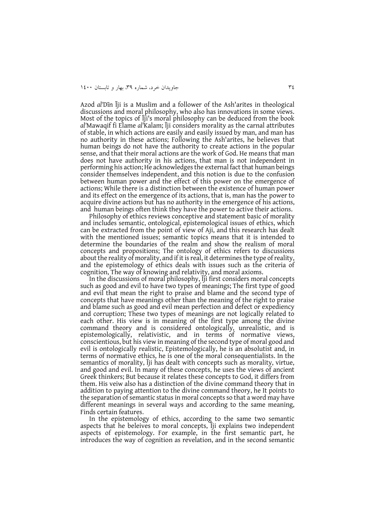Azod *al'*Dīn Īji is a Muslim and a follower of the Ash'arites in theological discussions and moral philosophy, who also has innovations in some views. Most of the topics of Īji's moral philosophy can be deduced from the book *al'*Mawaqif fi Elame *al'*Kalam; Īji considers morality as the carnal attributes of stable, in which actions are easily and easily issued by man, and man has no authority in these actions; Following the Ash'arites, he believes that human beings do not have the authority to create actions in the popular sense, and that their moral actions are the work of God. He means that man does not have authority in his actions, that man is not independent in performing his action; He acknowledges the external fact that human beings consider themselves independent, and this notion is due to the confusion between human power and the effect of this power on the emergence of actions; While there is a distinction between the existence of human power and its effect on the emergence of its actions, that is, man has the power to acquire divine actions but has no authority in the emergence of his actions, and human beings often think they have the power to active their actions.

Philosophy of ethics reviews conceptive and statement basic of morality and includes semantic, ontological, epistemological issues of ethics, which can be extracted from the point of view of Aji, and this research has dealt with the mentioned issues; semantic topics means that it is intended to determine the boundaries of the realm and show the realism of moral concepts and propositions; The ontology of ethics refers to discussions about the reality of morality, and if it is real, it determines the type of reality, and the epistemology of ethics deals with issues such as the criteria of cognition, The way of knowing and relativity, and moral axioms.

In the discussions of moral philosophy, Īji first considers moral concepts such as good and evil to have two types of meanings; The first type of good and evil that mean the right to praise and blame and the second type of concepts that have meanings other than the meaning of the right to praise and blame such as good and evil mean perfection and defect or expediency and corruption; These two types of meanings are not logically related to each other. His view is in meaning of the first type among the divine command theory and is considered ontologically, unrealistic, and is epistemologically, relativistic, and in terms of normative views, conscientious, but his view in meaning of the second type of moral good and evil is ontologically realistic, Epistemologically, he is an absolutist and, in terms of normative ethics, he is one of the moral consequentialists. In the semantics of morality, Īji has dealt with concepts such as morality, virtue, and good and evil. In many of these concepts, he uses the views of ancient Greek thinkers; But because it relates these concepts to God, it differs from them. His veiw also has a distinction of the divine command theory that in addition to paying attention to the divine command theory, he It points to the separation of semantic status in moral concepts so that a word may have different meanings in several ways and according to the same meaning, Finds certain features.

In the epistemology of ethics, according to the same two semantic aspects that he beleives to moral concepts, Īji explains two independent aspects of epistemology. For example, in the first semantic part, he introduces the way of cognition as revelation, and in the second semantic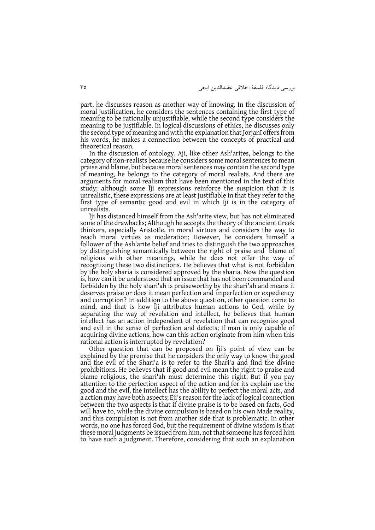بررسی ديدگاه فلسفة اخالقی عضدالدين ايجی 43

part, he discusses reason as another way of knowing. In the discussion of moral justification, he considers the sentences containing the first type of meaning to be rationally unjustifiable, while the second type considers the meaning to be justifiable. In logical discussions of ethics, he discusses only the second type of meaning and with the explanation that Jorjanī offers from his words, he makes a connection between the concepts of practical and theoretical reason.

In the discussion of ontology, Aji, like other Ash'arites, belongs to the category of non-realists because he considers some moral sentences to mean praise and blame, but because moral sentences may contain the second type of meaning, he belongs to the category of moral realists. And there are arguments for moral realism that have been mentioned in the text of this study; although some Īji expressions reinforce the suspicion that it is unrealistic, these expressions are at least justifiable in that they refer to the first type of semantic good and evil in which Īji is in the category of unrealists.

Īji has distanced himself from the Ash'arite view, but has not eliminated some of the drawbacks; Although he accepts the theory of the ancient Greek thinkers, especially Aristotle, in moral virtues and considers the way to reach moral virtues as moderation; However, he considers himself a follower of the Ash'arite belief and tries to distinguish the two approaches by distinguishing semantically between the right of praise and blame of religious with other meanings, while he does not offer the way of recognizing these two distinctions. He believes that what is not forbidden by the holy sharia is considered approved by the sharia. Now the question is, how can it be understood that an issue that has not been commanded and forbidden by the holy shari'ah is praiseworthy by the shari'ah and means it deserves praise or does it mean perfection and imperfection or expediency and corruption? In addition to the above question, other question come to mind, and that is how Īji attributes human actions to God, while by separating the way of revelation and intellect, he believes that human intellect has an action independent of revelation that can recognize good and evil in the sense of perfection and defects; If man is only capable of acquiring divine actions, how can this action originate from him when this rational action is interrupted by revelation?

Other question that can be proposed on Īji's point of view can be explained by the premise that he considers the only way to know the good and the evil of the Shari'a is to refer to the Shari'a and find the divine prohibitions. He believes that if good and evil mean the right to praise and blame religious, the shari'ah must determine this right; But if you pay attention to the perfection aspect of the action and for its explain use the good and the evil, the intellect has the ability to perfect the moral acts, and a action may have both aspects; Eji's reason for the lack of logical connection between the two aspects is that if divine praise is to be based on facts, God will have to, while the divine compulsion is based on his own Made reality, and this compulsion is not from another side that is problematic. In other words, no one has forced God, but the requirement of divine wisdom is that these moral judgments be issued from him, not that someone has forced him to have such a judgment. Therefore, considering that such an explanation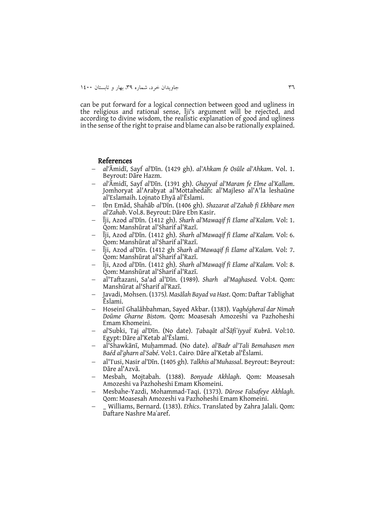can be put forward for a logical connection between good and ugliness in the religious and rational sense, Īji's argument will be rejected, and according to divine wisdom, the realistic explanation of good and ugliness in the sense of the right to praise and blame can also be rationally explained.

#### References

- *al'*Āmidī, Sayf *al'*Dīn. (1429 gh). *al'Ahkam fe Osūle al'Ahkam*. Vol. 1. Beyrout: Dāre Hazm.
- *al'*Āmidī, Sayf *al'*Dīn. (1391 gh). *Ghayyaẗ al'Maram fe Elme al'Kallam*. Jomhoryat al'Arabyat al'Mottahedah: al'Majleso al'A'la leshaūne al'Eslamaih. Lojnato Ehyā al'Ēslami.
- Ibn Emād, Shahāb *al'*Dīn. (1406 gh). *Shazarat al'Zahab fi Ekhbare men al'Zahab*. Vol.8. Beyrout: Dāre Ebn Kasir.
- Īji, Azod *al'*Dīn. (1412 gh). *Sharh al'Mawaqif fi Elame al'Kalam.* Vol: 1. Qom: Manshūrat al'Sharif al'Razī.
- Īji, Azod *al'*Dīn. (1412 gh). *Sharh al'Mawaqif fi Elame al'Kalam.* Vol: 6. Qom: Manshūrat al'Sharif al'Razī.
- Īji, Azod *al'*Dīn. (1412 gh *Sharh al'Mawaqif fi Elame al'Kalam.* Vol: 7. Qom: Manshūrat al'Sharif al'Razī.
- Īji, Azod *al'*Dīn. (1412 gh). *Sharh al'Mawaqif fi Elame al'Kalam.* Vol: 8. Qom: Manshūrat al'Sharif al'Razī.
- al'Taftazani, Sa'ad al'Dīn. (1989). *Sharh al'Maghased.* Vol:4. Qom: Manshūrat al'Sharif al'Razī.
- Javadi, Mohsen. (1375*). Masālah Bayad va Hast*. Qom: Daftar Tablighat Ēslami.
- Hoseinī Ghalāhbahman, Sayed Akbar. (1383). *Vaghégheraī dar Nimah Doūme Gharne Bistom.* Qom: Moasesah Amozeshi va Pazhoheshi Emam Khomeini.
- *al'*Subki, Taj *al'*Dīn. (No date). *Ṭabaqāt al'Šāfiʻiyyaẗ Kubrā*. Vol:10. Egypt: Dāre al'Ketab al'Ēslami.
- al'Shawkānī, Muḥammad. (No date). *al'Badr al'Tali Bemahasen men Baéd al'gharn al'Sabé.* Vol:1. Cairo: Dāre al'Ketab al'Ēslami.
- al'Tusi, Nasir *al'*Dīn. (1405 gh). *Talkhis al'Muhassal*. Beyrout: Beyrout: Dāre al'Azvā.
- Mesbah, Mojtabah. (1388). *Bonyade Akhlagh*. Qom: Moasesah Amozeshi va Pazhoheshi Emam Khomeini.
- Mesbahe-Yazdi, Mohammad-Taqi. (1373). *Dūrose Falsafeye Akhlagh*. Qom: Moasesah Amozeshi va Pazhoheshi Emam Khomeini.
- \_ Williams, Bernard. (1383). *Ethics*. Translated by Zahra Jalali. Qom: Daftare Nashre Maʾaref.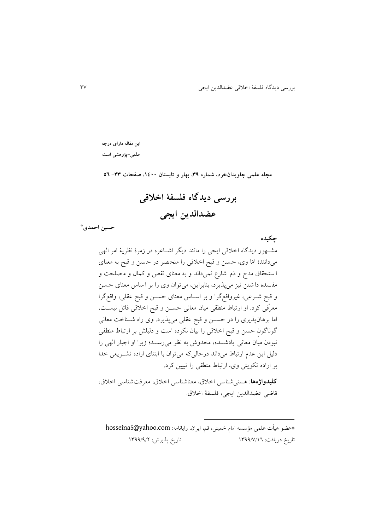**چکیده**

**این مقاله دارای درجه علمی-پژوهشی است**

**مجله علمی جاویدانخرد، شماره ،93 بهار و تابستان ،0011 صفحات -99 65**

**بررسی دیدگاه فلسفة اخالقی عضدالدین ایجی**

**\* حسین احمدی**

مشهه ر ديدگاه اخالقی ايجی را مانند ديگر اشهاعره در رمرة نظرية امر الهی میدانند؛ امّا وی، ح سن و قبح اخالق ی را منح صر در ح سن و قبح به معنا ی ا ستحقاق مدح و ذم شارع نم یداند و به معنای نقص و کمال و م صلحت و مف سده دا شتن ن یز میپذيرد، بنابراين، میت ان وی را بر ا ساس معنای ح سن و قبح شهرعی، غیرواقعگرا و بر اسهاس معنای حسهن و قبح عقلی، واقعگرا معرّفی کرد. او ارتباط منطقی میان معانی حسهن و قبح اخالقی قائل نیسهت، اما برهانپذيری را در حسهن و قبح عقلی میپذيرد. وی راه شهناخت معانی گ ناگ نِ حسن و قبح اخالق ی را بیان نکرده است و دل یلش بر ارتباط منطقی نب دن میان معانی يادشههده، مخدوش به نظر میرسههد؛ ريرا او اجبار الهی را دلیل اين عدم ارتباط میداند درحالیکه میت ان با ابتنای اراده تشههريعی خدا بر اراده تک ينی وی، ارتباط منطقی را تبیین کرد. **کلیدواژهها**: هستیشناسی اخالق، معناشناسی اخالق، معرفتشناسی اخالق،

قاضی عضدالدين ايجی، فلسفة اخالق.

\*عض هیأت علمی مؤسسه امام خمینی، قم، ايران. رايانامه: com.yahoo@5hosseina تاريخ دريافت: 0433/3/03 تاريخ پذيرش: 0433/3/2

 $\overline{\phantom{a}}$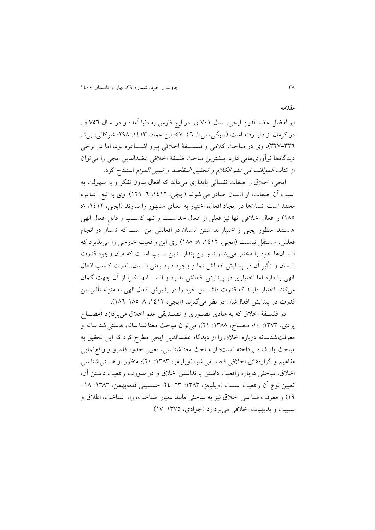ابوالفضل عضدالدين ايجي، سال ٧٠١ ق. در ايج فارس به دنيا آمده و در سال ٧٥٦ ق. در کرمان از دنیا رفته است (سبکی، بیتا: ٤٦-٤٧؛ ابن عماد، ١٤١٣: ١٩٨٨؛ شوکانی، بیتا: ٣٢٦-٣٢٧)، وی در مباحث کلامی و فلســـفهٔ اخلاقی پیرو اشــــاعره بود، اما در برخی ديدگاهها نوأوریهايی دارد. بيشترين مباحث فلسفهٔ اخلاقی عضدالدين ايجی را میتوان از کتاب *المواقف فی علم الکلام و تحقیق المقاصد و تبیین المرام* استنتاج کرد.

ايجی، اخلاق را صفات نفسانی پايداری میداند که افعال بدون تفکر و به سهولت به سبب آن صفات، از انسان صادر می شوند (ایجی، ۱۶۱۲، ۲: ۱۲۹). وی به تبع ا شاعره معتقد است انسانها در ايجاد افعال، اختيار به معنای مشهور را ندارند (ايجی، ١٤١٢، ٨: ١٨٥) و افعال اخلاقی آنها نیز فعلی از افعال خداست و تنها کاسب و قابلِ افعال الهی ه ستند. منظور ايجي از اختيار ندا شتن ان سان در افعالش اين ا ست که از سان در انجام فعلش، م ستقل نیـ ست (ايجی، ١٤١٢، ٨: ١٨٨) وی اين واقعيت خارجی را می پذيرد که انسانها خود را مختار میپندارند و اين پندار بدين سبب است که ميان وجود قدرت ان سان و تأثیر آن در پیدايش افعالش تمايز وج د دارد يعنی ان سان، قدرت ک سب افعال الهی را دارد اما اختیاری در پیدایش افعالش ندارد و انســـانها اکثرا از آن جهت گمان میکنند اختیار دارند که قدرت داشــــتن خود را در پذيرش افعال الهی به منزله تأثیر اين قدرت در پيدايش افعال شان در نظر می گيرند (ايجی، ١٤١٢، ٨. ١٨٥-١٨٦).

در فلسهف اخلاق که به مبادی تصوری و تصـدیقی علم اخلاق میپردازد (مصـباح يزدی، ١٣٧٣: ١٠؛ مصباح، ١٣٨٨: ٢١)، میتوان مباحث معنا شنا سانه، هستی شنا سانه و معرفتشناسانه درباره اخالق را ار ديدگاه عضدالدين ايجی مطرح کرد که اين تحقیق به مباحث ياد شده پرداخته ا ست؛ ار مباحث معنا شنا سی، تعیین حدود قلمرو و واقع نمايی مفاهیم و گزارههای اخلاقی قصد می شود(ویلیامز، ۱۳۸۳: ۲۰)؛ منظور از هستی شنا سی اخلاق، مباحثی درباره واقعیت داشتن یا نداشتن اخلاق و در صورت واقعیت داشتن آن، تعیین نوع آن واقعیت است (ویلیامز، ١٣٨٣: ٢٣-٢٤؛ حسـینی قلعهبهمن، ١٣٨٣: ١٨-١٩) و معرفت شنا سی اخلاق نیز به مباحثی مانند معیار شناخت، راه شناخت، اطلاق و نسبیت و بدیهیات اخلاقی میپردازد (جوادی، ١٣٧٥: ١٧).

مقدّمه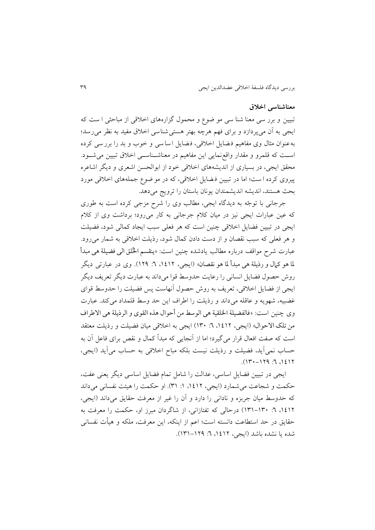#### **معناشناسی اخالق**

تبیین و برر سی معنا شنا سی مو ضوع و محمول گزارههای اخلاقی از مباحثی ا ست که ايجی به آن میپردارد و برای فهم هرچه بهتر هستی شناسی اخالق مفید به نظر می رسد؛ به عنوان مثال وی مفاهیم فضایل اخلاقی، فضایل اساسی و خوب و بد را برر سی کرده است که قلمرو و مقدار واقع نمایی این مفاهیم در معناشـناسـی اخلاق تبیین می شـود. محقق ايجی، در بسياری از انديشههای اخلاقی خود از ابوالحسن اشعری و ديگر اشاعره پیروی کرده است؛ اما در تبیین فضایل اخلاقی، که در مو ضوع جملههای اخلاقی مورد بحث هستند، انديشه انديشمندان يونان باستان را ترويج میدهد.

جرجانی با توجّه به ديدگاه ايجی، مطالب وی را شرح مزجی کرده است به طوری که عین عبارات ايجی نیز در میان کالم جرجانی به کار میرود؛ برداشت وی ار کالم ايجی در تبیین فضايل اخالقی چنین است که هر فعلی سبب ايجاد کمالی ش د، فضیلت و هر فعلی که سبب نقصان و از دست دادن کمال شود، رذيلت اخلاقی به شمار می رود. عبارت شرح مواقف درباره مطالب يادشده چنین است: «ینقسم الخُلق الی فضیلة هی مبدأ ملا هو کامل و رذیلة هی مبدأ ملا هو نقصان« )ايجی، ،0302 :3 023(. وی در عبارتی ديگر روش حصول فضايل انسانی را رعايت حدوسط قوا میداند به عبارت ديگر تعريف ديگر ايجی از فضايل اخلاقی، تعريف به روش حصول آنهاست پس فضيلت را حدوسط قواي غضبيه، شهويه و عاقله می داند و رذيلت را اطراف اين حد وسط قلمداد می کند. عبارت وی چنین است: »فالفضیلة اخللقیة هی الوسط من أحوال هذه القوی و الرذیلة هی االطراف من تلک الاحوال» (ايجی، ۱٤١٢، ٦: ١٣٠) ايجی به اخلاقی ميان فضيلت و رذيلت معتقد است که صفت افعال قرار میگیرد؛ اما ار آنجايی که مبدأ کمال و نقص برای فاعل آن به حساب نمیآيد، فضیلت و رذيلت نیست بلکه مباح اخالقی به حساب میآيد )ايجی،  $(17 - 179 \cdot 7)$ 

ايجی در تبیین فضايل اساسی، عدالت را شامل تمام فضايل اساسی ديگر يعنی عفت، حکمت و شجاعت میشمارد )ايجی، ،0302 :0 40(. او حکمت را هیئت نفسانی میداند که حدوسط میان جربزه و نادانی را دارد و آن را غیر ار معرفت حقايق میداند )ايجی، ،0302 :3 040-041( درحالی که تفتارانی، ار شاگردان مبرر او، حکمت را معرفت به حقايق در حد استطاعت دانسته است؛ اعم ار اينکه، اين معرفت، ملکه و هیأت نفسانی شده يا نشده باشد )ايجی، ،0302 :3 040-023(.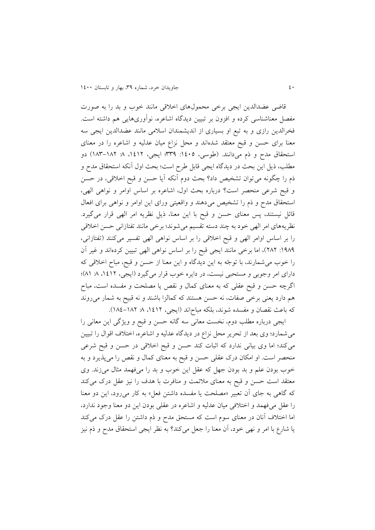قاضی عضدالدین ایجی برخی محمولهای اخلاقی مانند خوب و بد را به صورت مفصل معناشناسی کرده و افزون بر تبیین دیدگاه اشاعره، نوآوریهایی هم داشته است. فخرالدين راری و به تبع او بسیاری ار انديشمندان اسالمی مانند عضدالدين ايجی سه معنا برای حسن و قبح معتقد شدهاند و محل نزاع میان عدلیه و اشاعره را در معنای استحقاق مدح و ذم میدانند. (طوسی، ١٤٠٥: ٣٣٩؛ ايجی، ١٤١٢، ٨: ١٨٢-١٨٣) دو مطلب، ذيل اين بحث در ديدگاه ايجی قابل طرح است؛ بحث اول آنکه استحقاق مدح و ذم را چگونه می توان تشخیص داد؟ بحث دوم آنکه آیا حسن و قبح اخلاقی، در حسن و قبح شرعی منحصر است؟ درباره بحث اول، اشاعره بر اساس اوامر و ن اهی الهی، استحقاق مدح و ذم را تشخیص می دهند و واقعیتی ورای این اوامر و نواهی برای افعال قائل نیستند، پس معنای حسن و قبح با اين معنا، ذيل نظريه امر الهی قرار میگیرد. نظريههای امر الهی خود به چند دسته تقسیم می شوند؛ برخی مانند تفتازانی حسن اخلاقی را بر اساس اوامر الهی و قبح اخلاقی را بر اساس نواهی الهی تفسیر میکنند (تفتازانی، ١٩٨٩: ٢٨٢)، اما برخی مانند ايجی قبح را بر اساس نواهی الهی تبيين کردهاند و غير آن را خوب می شمارند، با توجّه به اين ديدگاه و اين معنا از حسن و قبح، مباح اخلاقی که دارای امر وجوبی و مستحبی نیست، در دايره خوب قرار می گيرد (ايجی، ١٤١٢، ٨: ٨١)؛ اگرچه حسن و قبح عقلی که به معنای کمال و نقص يا مصلحت و مفسده است، مباح هم دارد يعنی برخی صفات، نه حسن هستند که کمالزا باشند و نه قبیح به شمار میروند که باعث نقصان و مفسده شوند، بلکه مباحاند (ايجی، ١٤١٢، ٨ ١٨٢-١٨٤).

ايجی درباره مطلب دوم، نخست معانی سه گانه حسن و قبح و ويژگی اين معانی را می شمارد؛ وی بعد از تحرير محل نزاع در ديدگاه عدليه و اشاعره، اختلاف اقوال را تبيين میکند؛ اما وی بیانی ندارد که اثبات کند حسن و قبح اخالقی در حسن و قبح شرعی منحصر است. او امکان درک عقلی حسن و قبح به معنای کمال و نقص را میپذيرد و به خوب بودن علم و بد بودن جهل که عقل این خوب و بد را میفهمد مثال میزند. وی معتقد است حسن و قبح به معنای مالئمت و منافرت با هدف را نیز عقل درک میکند که گاهی به جای آن تعبیر «مصلحت یا مفسده داشتن فعل» به کار می رود، این دو معنا را عقل میفهمد و اختلافی میان عدلیه و اشاعره در عقلی بودن اين دو معنا وجود ندارد، اما اختلاف آنان در معنای سوم است که مستحق مدح و ذم داشتن را عقل درک میکند يا شارع با امر و نهی خود، آن معنا را جعل میکند؟ به نظر ايجی استحقاق مدح و ذم نيز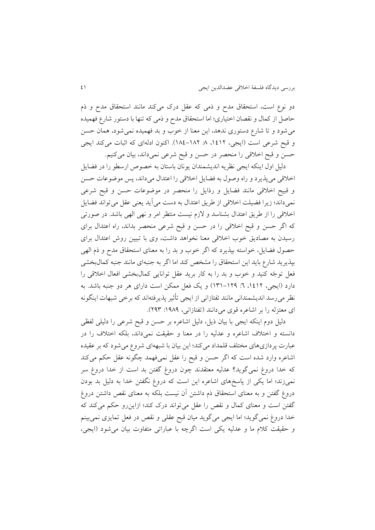دو نوع است، استحقاق مدح و ذمی که عقل درک میکند مانند استحقاق مدح و ذم حاصل ار کمال و نقصان اختیاری؛ اما استحقاق مدح و ذمی که تنها با دست ر شارع فهمیده می شود و تا شارع دستوری ندهد، اين معنا از خوب و بد فهميده نمی شود، همان حسن و قبح شرعی است (ايجی، ١٤١٢، ٨ ١٨٢-١٨٤). اکنون ادلهای که اثبات میکند ايجی حسن و قبح اخالقی را منحصر در حسن و قبح شرعی نمیداند، بیان میکنیم.

دلیل اول اينکه ايجي نظريه انديشمندان يونان باستان به خصوص ارسطو را در فضايل اخلاقی میپذیرد و راه وصول به فضایل اخلاقی را اعتدال میداند، پس موضوعات حسن و قبیح اخلاقی مانند فضایل و رذایل را منحصر در موضوعات حسن و قبح شرعی نمیداند؛ زيرا فضيلت اخلاقی از طريق اعتدال به دست میآيد يعنی عقل میتواند فضايل اخلاقی را از طريق اعتدال بشناسد و لازم نيست منتظر امر و نهی الهی باشد. در صورتی که اگر حسن و قبح اخالقی را در حسن و قبح شرعی منحصر بداند، راه اعتدال برای رسیدن به مصادیق خوب اخلاقی معنا نخواهد داشت، وی با تبیین روش اعتدال برای حصول فضایل، خواسته بپذیرد که اگر خوب و بد را به معنای استحقاق مدح و ذم الهی بپذيريد شارع بايد اين استحقاق را مشخص کند اما اگر به جنبهای مانند جنبه کمالبخشی فعل توجّه کنید و خوب و بد را به کار برید عقل توانایی کمالبخشی افعال اخلاقی را دارد (ايجي، ١٤١٢. ٦: ١٢٩–١٣١) و يک فعل ممکن است دارای هر دو جنبه باشد. به نظر میرسد انديشمندانی مانند تفتازانی از ايجی تأثير پذيرفتهاند که برخی شبهات اينگونه ای معتزله را بر اشاعره قوی می دانند (تفتازانی، ۱۹۸۹: ۲۹۳).

دلیل دوم اينکه ايجی با بیان ذيل، دلیل اشاعره بر حسن و قبح شرعی را دلیلی لفظی دانسته و اختالف اشاعره و عدلیه را در معنا و حقیقت نمیداند، بلکه اختالف را در عبارت پردازیهای مختلف قلمداد میکند؛ اين بيان با شبههای شروع میشود که بر عقيده اشاعره وارد شده است که اگر حسن و قبح را عقل نمیفهمد چگونه عقل حکم میکند که خدا دروغ نمیگوید؟ عدلیه معتقدند چون دروغ گفتن بد است از خدا دروغ سر نمیزند؛ اما يکی از پاسخهای اشاعره اين است که دروغ نگفتن خدا به دليل بد بودن دروغ گفتن و به معنای استحقاق ذم داشتن آن نیست بلکه به معنای نقص داشتن دروغ گفتن است و معنای کمال و نقص را عقل میتواند درک کند؛ ازاین رو حکم میکند که خدا دروغ نمیگويد؛ اما ايجی میگويد میان قبح عقلی و نقص در فعل تمايزی نمیبينم و حقیقت کلام ما و عدلیه يکی است اگرچه با عباراتی متفاوت بیان می شود (ايجی،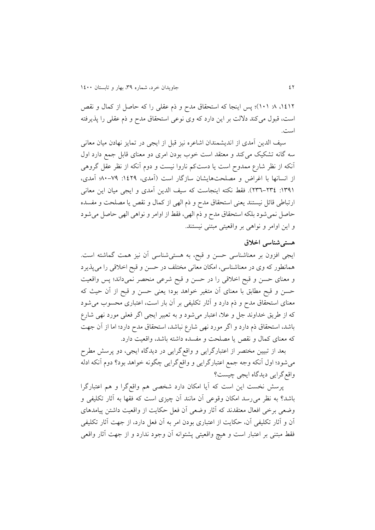،0302 :3 010(؛ پس اينجا که استحقاق مدح و ذم عقلی را که حاصل ار کمال و نقص است، قبول میکند دلالت بر اين دارد که وی نوعی استحقاق مدح و ذم عقلی را پذيرفته است.

سیف الدين آمدی ار انديشمندان اشاعره نیز قبل ار ايجی در تمايز نهادن میان معانی سه گانه تشکیک میکند و معتقد است خوب بودن امری دو معنای قابل جمع دارد اول آنکه ار نظر شارع ممدوح است يا دستکم ناروا نیست و دوم آنکه ار نظر عقل گروهی ار انسانها با اغراض و مصلحتهايشان سارگار است )آمدی، :0323 31-33؛ آمدی، :0430 243-243(. فقط نکته اينجاست که سیف الدين آمدی و ايجی میان اين معانی ارتباطی قائل نیستند يعنی استحقاق مدح و ذم الهی ار کمال و نقص يا مصلحت و مفسده حاصل نمیشود بلکه استحقاق مدح و ذم الهی، فقط از اوامر و نواهی الهی حاصل میشود و این اوامر و نواهی بر واقعیتی مبتنی نیستند.

#### **هستیشناسی اخالق**

ايجی افزون بر معناشناسی حسن و قبح، به هستیشناسی آن نیز همت گماشته است. همانطور که وی در معناشناسی، امکان معانی مختلف در حسن و قبح اخلاقی را میپذیرد و معنای حسن و قبح اخالقی را در حسن و قبح شرعی منحصر نمیداند؛ پس واقعیت حسن و قبح مطابق با معنای آن متغیر خواهد بود؛ یعنی حسن و قبح از آن حیث که معنای استحقاق مدح و ذم دارد و آثار تکلیفی بر آن بار است، اعتباری محسوب می شود که از طريق خداوند جل و علا، اعتبار می شود و به تعبير ايجی اگر فعلی مورد نهی شارع باشد، استحقاق ذم دارد و اگر مورد نهی شارع نباشد، استحقاق مدح دارد؛ اما از آن جهت که معنای کمال و نقص يا مصلحت و مفسده داشته باشد، واقعیت دارد.

بعد ار تبیین مختصر ار اعتبارگرايی و واقعگرايی در ديدگاه ايجی، دو پرسش مطرح میشود؛ اول آنکه وجه جمع اعتبارگرايی و واقع گرايی چگونه خواهد بود؟ دوم آنکه ادله واقعگرايی ديدگاه ايجی چیست؟

پرسش نخست اين است که آيا امکان دارد شخصی هم واقعگرا و هم اعتبارگرا باشد؟ به نظر می رسد امکان وقوعی آن مانند آن چیزی است که فقها به آثار تکلیفی و وضعی برخی افعال معتقدند که آثار وضعی آن فعل حکايت ار واقعیت داشتن پیامدهای آن و آثار تکلیفی آن، حکایت از اعتباری بودن امر به آن فعل دارد، از جهت آثار تکلیفی فقط مبتنی بر اعتبار است و هیچ واقعیتی پشتوانه آن وجود ندارد و از جهت آثار واقعی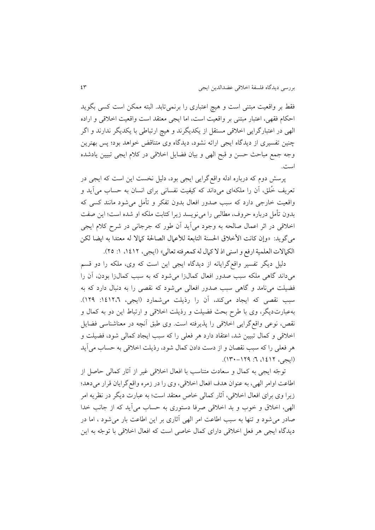فقط بر واقعیت مبتنی است و هیچ اعتباری را برنمی تابد. البته ممکن است کسی بگوید احکام فقهی، اعتبار مبتنی بر واقعیت است، اما ايجی معتقد است واقعیت اخالقی و اراده الهی در اعتبارگرايی اخالقی مستقل ار يکديگرند و هیچ ارتباطی با يکديگر ندارند و اگر چنین تفسیری از دیدگاه ایجی ارائه نشود، دیدگاه وی متناقض خواهد بود؛ پس بهترین وجه جمع مباحث حسن و قبح الهی و بیان فضايل اخالقی در کالم ايجی تبیین يادشده است.

پرسش دوم که درباره ادله واقع گرايی ايجی بود، دليل نخست اين است که ايجی در تعريف خُلق، آن را ملکهای میداند که کیفیت نفسانی برای انسان به حساب میآيد و واقعیت خارجی دارد که سبب صدور افعال بدون تفکر و تأمل می شود مانند کسی که بدون تأمل درباره حروف، مطالبی را مین يسد ريرا کتابت ملکه او شده است؛ اين صفت اخلاقی در اثر اعمال صالحه به وجود میآید آن طور که جرجانی در شرح کلام ایجی میگويد: «وإن كانت الأخلاق الحسنة التابعة للأعمال الصالحة كمالا له معتدا به ایضا لكن الكمالات العلمية ارفع و اسني اذ لا كمال له كمعرفته تعالى» (ايجي، ١٤١٢، ١: ٢٥).

دلیل ديگر تفسیر واقعگرايانه ار ديدگاه ايجی اين است که وی، ملکه را دو قسم میداند گاهی ملکه سبب صدور افعال کمالزا میشود که به سبب کمالزا بودن، آن را فضیلت می نامد و گاهی سبب صدور افعالی می شود که نقصی را به دنبال دارد که به سبب نقصی که ايجاد میکند، آن را رذيلت می شمارد (ايجی، ١٤١٢،٦: ١٢٩). بهعبارتديگر، وی با طرح بحث فضیلت و رذيلت اخالقی و ارتباط اين دو به کمال و نقص، نوعی واقع گرايی اخلاقی را پذيرفته است. وی طبق أنچه در معناشناسی فضايل اخلاقی و کمال تبیین شد، اعتقاد دارد هر فعلی را که سبب ایجاد کمالی شود، فضیلت و هر فعلی را که سبب نقصان و از دست دادن کمال شود، رذيلت اخلاقی به حساب می آيد (ايجي، ١٤١٢، ٦: ١٢٩–١٣٠).

ت جّه ايجی به کمال و سعادت متناسب با افعال اخالقی غیر ار آثار کمالی حاصل ار اطاعت اوامر الهی، به عنوان هدف افعال اخلاقی، وی را در زمره واقع گرايان قرار میدهد؛ ريرا وی برای افعال اخالقی، آثار کمالی خاص معتقد است؛ به عبارت ديگر در نظريه امر الهی، اخلاق و خوب و بد اخلاقی صرفا دستوری به حساب می آید که از جانب خدا صادر میشود و تنها به سبب اطاعت امر الهی آثاری بر این اطاعت بار میشود ، اما در ديدگاه ايجي هر فعل اخلاقی دارای کمال خاصی است که افعال اخلاقی با توجّه به اين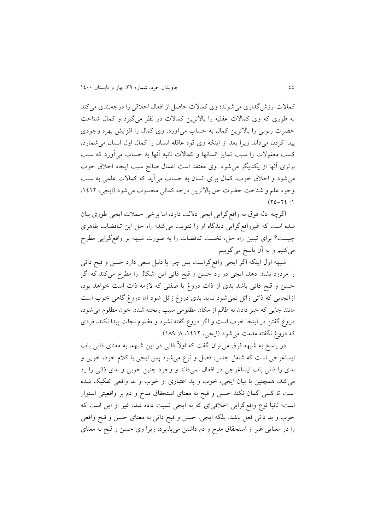کماالت اررشگذاری میش ند؛ وی کماالت حاصل ار افعال اخالقی را درجهبندی میکند به طوری که وی کمالات عقلیه را بالاترین کمالات در نظر میگیرد و کمال شناخت حضرت ربوبی را بالاترين کمال به حساب میآورد. وی کمال را افزايش بهره وجودی پیدا کردن می داند زیرا بعد از اینکه وی قوه عاقله انسان را کمال اول انسان می شمارد، کسب معقولات را سبب تمايز انسانها و کمالات ثانيه آنها به حساب میآورد که سبب برتری آنها از يکديگر می شود. وی معتقد است اعمال صالح سبب ايجاد اخلاق خوب می شود و اخلاق خوب، کمال برای انسان به حساب می آید که کمالات علمی به سبب وجود علم و شناخت حضرت حق بالاترين درجه كمالي محسوب مي شود (ايجي، ١٤١٢،  $\Lambda$ : 37-07).

اگرچه ادله فوق به واقع گرايي ايجي دلالت دارد، اما برخی جملات ايجي طوري بيان شده است که غیرواقع گرايی ديدگاه او را تقويت میکند؛ راه حل اين تناقضات ظاهری چیست؟ برای تبیین راه حل، نخست تناقضات را به ص رت شبهه بر واقعگرايی مطرح میکنیم و به آن پاسخ میگوییم.

شبهه اول اينکه اگر ايجی واقعگراست پس چرا با دلیل سعی دارد حسن و قبح ذاتی را مردود نشان دهد، ايجی در رد حسن و قبح ذاتی اين اشکال را مطرح میکند که اگر حسن و قبح ذاتی باشد بدی از ذات دروغ یا صفتی که لازمه ذات است خواهد بود، ازآنجايی که ذاتی زائل نمی شود نبايد بدی دروغ زائل شود اما دروغ گاهی خوب است مانند جايی كه خبر دادن به ظالم از مكان مظلومی سبب ريخته شدن خون مظلوم می شود، دروغ گفتن در اينجا خوب است و اگر دروغ گفته نشود و مظلوم نجات پیدا نکند، فردی که دروغ نگفته مذمت می شود (ايجی، ۱۶۱۲، ۸: ۱۸۹).

در پاسخ به شبهه فوق می توان گفت که اولاً ذاتی در این شبهه، به معنای ذاتی باب ايساغوجي است که شامل جنس، فصل و نوع می شود پس ايجی با کلام خود، خوبی و بدی را ذاتی باب ایساغوجی در افعال نمیداند و وجود چنین خوبی و بدی ذاتی را رد می کند، همچنین با بیان ایجی، خوب و بد اعتباری از خوب و بد واقعی تفکیک شده است تا کسی گمان نکند حسن و قبح به معنای استحقاق مدح و ذم بر واقعیتی استوار است؛ ثانیا نوع واقع گرايی اخلاقیای که به ايجی نسبت داده شد، غیر از اين است که خوب و بد ذاتی فعل باشد. بلکه ايجی، حسن و قبح ذاتی به معنای حسن و قبح واقعی را در معنايی غیر ار استحقاق مدح و ذم داشتن میپذيرد؛ ريرا وی حسن و قبح به معنای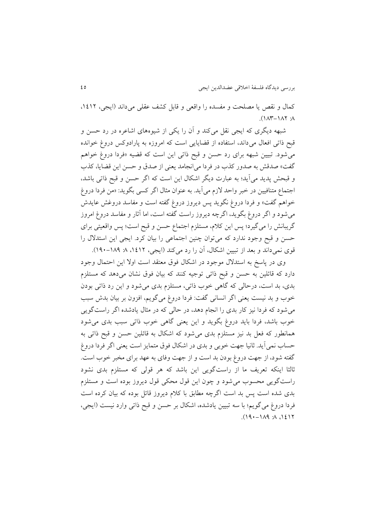کمال و نقص يا مصلحت و مفسده را واقعی و قابل کشف عقلی میداند )ايجی، ،0302  $\Lambda$ :  $\Lambda$  $\Lambda$ - $\Lambda$  $\Lambda$  : $\Lambda$ 

شبهه ديگری که ايجی نقل میکند و آن را يکی از شيوههای اشاعره در رد حسن و قبح ذاتی افعال میداند، استفاده از قضایایی است که امروزه به پارادوکس دروغ خوانده میشود. تبیین شبهه برای رد حسن و قبح ذاتی این است که قضیه «فردا دروغ خواهم گفت» صدقش به صدور کذب در فردا میانجامد يعنی از صدق و حسن اين قضايا، کذب و قبحش پديد میآيد؛ به عبارت ديگر اشکال اين است که اگر حسن و قبح ذاتی باشد، اجتماع متنافیین در خبر واحد لازم می آید. به عنوان مثال اگر کسی بگوید: «من فردا دروغ خواهم گفت» و فردا دروغ نگويد پس ديروز دروغ گفته است و مفاسد دروغش عايدش میشود و اگر دروغ بگوید، اگرچه دیروز راست گفته است، اما آثار و مفاسد دروغ امروز گريبانش را میگیرد؛ پس اين کالم، مستلزم اجتماع حسن و قبح است؛ پس واقعیتی برای حسن و قبح وجود ندارد که می توان چنین اجتماعی را بیان کرد. ایجی این استدلال را قوی نمیداند و بعد از تبیین اشکال، آن را رد میکند (ایجی، ۱۶۱۲، ۸: ۱۸۹–۱۹۰).

وی در پاسخ به استدلال موجود در اشکال فوق معتقد است اولا این احتمال وجود دارد که قائلین به حسن و قبح ذاتی توجیه کنند که بیان فوق نشان می دهد که مستلزم بدی، بد است، درحالی که گاهی خوب ذاتی، مستلزم بدی می شود و این رد ذاتی بودن خوب و بد نيست يعني اگر انساني گفت: فردا دروغ مي گويم، افزون بر بيان بدش سبب می شود که فردا نیز کار بدی را انجام دهد، در حالی که در مثال یادشده اگر راستگویی خوب باشد، فردا بايد دروغ بگويد و اين يعنی گاهی خوب ذاتی سبب بدی می شود همانطور که فعل بد نیز مستلزم بدی می شود که اشکال به قائلین حسن و قبح ذاتی به حساب نمی آيد. ثانيا جهت خوبي و بدي در اشکال فوق متمايز است يعني اگر فردا دروغ گفته شود، از جهت دروغ بودن بد است و از جهت وفای به عهد برای مخبر خوب است. ثالثا اينکه تعريف ما از راستگويی اين باشد که هر قولی که مستلزم بدی نشود راستگويی محسوب می شود و چون اين قول محکی قول ديروز بوده است و مستلزم بدی شده است پس بد است اگرچه مطابق با کلام ديروز قائل بوده که بيان کرده است فردا دروغ میگويم؛ با سه تبيين يادشده، اشکال بر حسن و قبح ذاتی وارد نيست (ايجي،  $(19 - 114 \times 16)$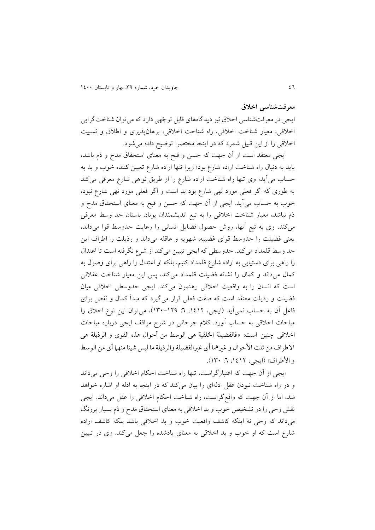#### **معرفتشناسی اخالق**

ايجی در معرفتشناسی اخلاق نيز ديدگاههای قابل توجّهی دارد که میتوان شناختگرايی اخالقی، معیار شناخت اخالقی، راه شناخت اخالقی، برهانپذيری و اطالق و نسبیت اخلاقی را از اين قبيل شمرد كه در اينجا مختصرا توضيح داده می شود.

ايجی معتقد است ار آن جهت که حسن و قبح به معنای استحقاق مدح و ذم باشد، بايد به دنبال راه شناخت اراده شارع بود؛ زيرا تنها اراده شارع تعيين كننده خوب و بد به حساب میآيد؛ وی تنها راه شناخت اراده شارع را از طريق نواهی شارع معرفی میکند به طوری که اگر فعلی مورد نهی شارع بود بد است و اگر فعلی مورد نهی شارع نبود، خوب به حساب می آيد. ايجی از آن جهت که حسن و قبح به معنای استحقاق مدح و ذم نباشد، معیار شناخت اخلاقی را به تبع اندیشمندان یونان باستان حد وسط معرفی میکند. وی به تبع آنها، روش حصول فضايل انسانی را رعايت حدوسط قوا میداند، يعنی فضيلت را حدوسط قوای غضبيه، شهويه و عاقله میداند و رذيلت را اطراف اين حد وسط قلمداد میکند. حدوسطی که ايجی تبیین میکند ار شرع نگرفته است تا اعتدال را راهی برای دستیابی به اراده شارع قلمداد کنیم، بلکه او اعتدال را راهی برای وصول به کمال میداند و کمال را نشانه فضیلت قلمداد میکند، پس این معیار شناخت عقلانی است که انسان را به واقعیت اخلاقی رهنمون میکند. ایجی حدوسطی اخلاقی میان فضیلت و رذيلت معتقد است که صفت فعلی قرار میگیرد که مبدأ کمال و نقص برای فاعل آن به حساب نمی آيد (ايجی، ١٤١٢. ٦: ١٢٩–١٣٠)، میتوان اين نوع اخلاق را مباحات اخلاقی به حساب آورد. کلام جرجانی در شرح مواقف ایجی درباره مباحات اخالقی چنین است: »فالفضیلة اخللقیة هی الوسط من أحوال هذه القوی و الرذیلة هی الاطراف من ثلث الأحوال و غیرهما أی غیرالفضیلة والرذیلة ما لیس شیئا منها أی من الوسط و الأطراف» (ايجي، ١٤١٢، ٦: ١٣٠).

ايجی ار آن جهت که اعتبارگراست، تنها راه شناخت احکام اخالقی را وحی میداند و در راه شناخت نبودن عقل ادلهای را بیان میکند که در اینجا به ادله او اشاره خواهد شد، اما ار آن جهت که واقعگراست، راه شناخت احکام اخالقی را عقل میداند. ايجی نقش وحی را در تشخیص خوب و بد اخلاقی به معنای استحقاق مدح و ذم بسیار پررنگ میداند که وحی نه اینکه کاشف واقعیت خوب و بد اخلاقی باشد بلکه کاشف اراده شارع است که او خوب و بد اخلاقی به معنای یادشده را جعل می کند. وی در تبیین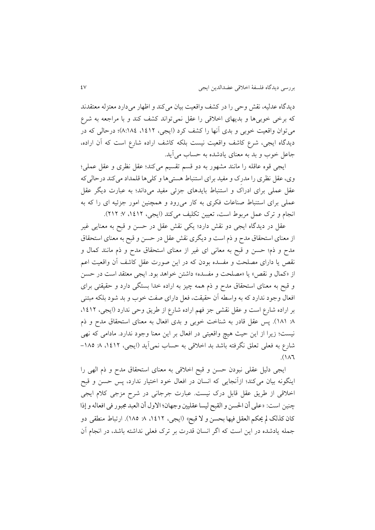دیدگاه عدلیه، نقش وحی را در کشف واقعیت بیان میکند و اظهار می دارد معتزله معتقدند که برخی خوبیها و بدیهای اخلاقی را عقل نمیتواند کشف کند و با مراجعه به شرع میتوان واقعیت خوبی و بدی آنها را کشف کرد (ایجی، ۱۶۱۲، ۸:۱۸٤)؛ درحالی که در ديدگاه ايجی، شرع کاشف واقعیت نیست بلکه کاشف اراده شارع است که آن اراده، جاعل خوب و بد به معنای يادشده به حساب می آيد.

ايجی قوه عاقله را مانند مشهور به دو قسم تقسیم میکند؛ عقل نظری و عقل عملی؛ وی، عقل نظری را مدرِک و مفید برای استنباط هستیها و کلیها قلمداد میکند درحالیکه عقل عملی برای ادراک و استنباط بايدهای جزئی مفید میداند؛ به عبارت ديگر عقل عملی برای استنباط صناعات فکری به کار میرود و همچنین امور جزئیه ای را که به انجام و ترک عمل مربوط است، تعیین تکلیف میکند (ایجی، ۱٤١٢، ۷: ٢١٢).

عقل در ديدگاه ايجی دو نقش دارد؛ يکی نقش عقل در حسن و قبح به معنايی غیر ار معنای استحقاق مدح و ذم است و ديگری نقش عقل در حسن و قبح به معنای استحقاق مدح و ذم؛ حسن و قبح به معانی ای غیر ار معنای استحقاق مدح و ذم مانند کمال و نقص يا دارای مصلحت و مفسده بودن که در اين صورت عقل کاشف آن واقعیت اعم از «کمال و نقص» يا «مصلحت و مفسده» داشتن خواهد بود. ايجي معتقد است در حسن و قبح به معنای استحقاق مدح و ذم همه چیز به اراده خدا بستگی دارد و حقیقتی برای افعال وجود ندارد که به واسطه آن حقیقت، فعل دارای صفت خوب و بد شود بلکه مبتنی بر اراده شارع است و عقل نقشی جز فهم اراده شارع از طريق وحی ندارد (ايجی، ١٤١٢. % ١٨١). پس عقل قادر به شناخت خوبی و بدی افعال به معنای استحقاق مدح و ذم نیست؛ زیرا از این حیث هیچ واقعیتی در افعال بر این معنا وجود ندارد. مادامی که نهی شارع به فعلی تعلق نگرفته باشد بد اخلاقی به حساب نمیآید (ایجی، ۱۶۱۲، ۸ ۱۸۵–  $.(\lambda)$ 

ايجی دليل عقلی نبودن حسن و قبح اخلاقی به معنای استحقاق مدح و ذم الهی را اینگونه بیان میکند؛ ازآنجایی که انسان در افعال خود اختیار ندارد، پس حسن و قبح اخالقی ار طريق عقل قابل درک نیست. عبارت جرجانی در شرح مزجی کالم ايجی چنین است: »معلی أن احلسن و القبح لیسا معقلینی وجهان؛ االول أن العبد جمبور فی افعال و إذا کان کذلک لم یحکم العقل فیها بحسن و لا قبح» (ايجی، ١٤١٢، ٨ ١٨٥). ارتباط منطقی دو جمله يادشده در اين است که اگر انسان قدرت بر ترک فعلی نداشته باشد، در انجام آن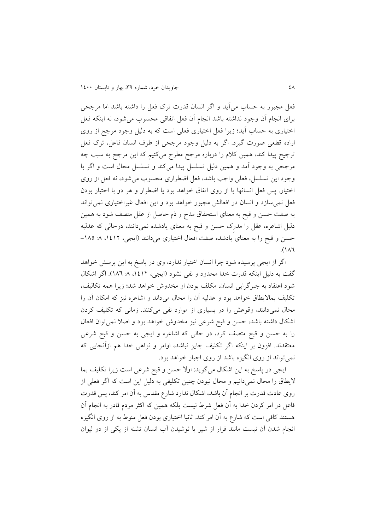فعل مجبور به حساب می آید و اگر انسان قدرت ترک فعل را داشته باشد اما مرجحی برای انجام آن وجود نداشته باشد انجام آن فعل اتفاقی محسوب می شود، نه اینکه فعل اختیاری به حساب آيد؛ زيرا فعل اختیاری فعلی است که به دلیل وجود مرجح از روی اراده قطعی صورت گیرد. اگر به دلیل وجود مرجحی از طرف انسان فاعل، ترک فعل ترجیح پیدا کند، همین کالم را درباره مرجح مطرح میکنیم که اين مرجح به سبب چه مرجحی به وجود آمد و همین دلیل تسلسل پیدا میکند و تسلسل محال است و اگر با وجود اين تسلسل، فعلی واجب باشد، فعل اضطراری محسوب می شود، نه فعل از روی اختیار. پس فعل انسانها يا از روی اتفاق خواهد بود يا اضطرار و هر دو با اختيار بودن فعل نمی سازد و انسان در افعالش مجبور خواهد بود و این افعال غیراختیاری نمی تواند به صفت حسن و قبح به معنای استحقاق مدح و ذم حاصل ار عقل متصف ش د به همین دلیل اشاعره، عقل را مدرِک حسن و قبح به معنای يادشده نمیدانند، درحالی که عدلیه حسن و قبح را به معنای يادشده صفت افعال اختیاری میدانند (ايجی، ۱۶۱۲، ۸: ۱۸۵- $\Lambda$ 

اگر از ايجی پرسيده شود چرا انسان اختيار ندارد، وی در پاسخ به اين پرسش خواهد گفت به دلیل اینکه قدرت خدا محدود و نفی نشود (ایجی، ۱۶۱۲، ۸. ۱۸۲). اگر اشکال شود اعتقاد به جبرگرايی انسان، مکلف بودن او مخدوش خواهد شد؛ زيرا همه تکالیف، تکلیف بمالایطاق خواهد بود و عدلیه آن را محال میداند و اشاعره نیز که امکان آن را محال نمیدانند، وقوعش را در بسیاری از موارد نفی میکنند. زمانی که تکلیف کردن اشکال داشته باشد، حسن و قبح شرعی نیز مخدوش خواهد بود و اصلا نمی توان افعال را به حسن و قبح متصف کرد، در حالی که اشاعره و ايجی به حسن و قبح شرعی معتقدند. افزون بر اينکه اگر تکليف جايز نباشد، اوامر و نواهی خدا هم ازآنجايی که نمی تواند از روی انگیزه باشد از روی اجبار خواهد بود.

ايجی در پاسخ به اين اشکال میگ يد: اوال حسن و قبح شرعی است ريرا تکلیف بما لايطاق را محال نمیدانیم و محال نبودن چنین تکلیفی به دلیل این است که اگر فعلی از روی عادت قدرت بر انجام آن باشد، اشکال ندارد شارع مقدس به آن امر کند، پس قدرت فاعل در امر کردن خدا به آن فعل شرط نیست بلکه همین که اکثر مردم قادر به انجام آن هستند کافی است که شارع به آن امر کند. ثانیا اختیاری بودن فعل منوط به از روی انگیزه انجام شدن آن نیست مانند فرار از شیر یا نوشیدن آب انسان تشنه از یکی از دو لیوان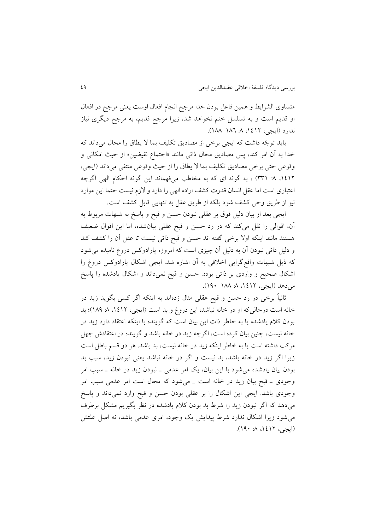متساوی الشرايط و همين فاعل بودن خدا مرجح انجام افعال اوست يعني مرجح در افعال او قديم است و به تسلسل ختم نخواهد شد، زيرا مرجح قديم، به مرجح ديگری نياز ندارد (ايجي، ١٤١٢ ه. ١٨٦-١٨٨).

بايد توجّه داشت که ايجی برخی از مصاديق تکليف بما لا يطاق را محال می داند که خدا به آن امر کند، پس مصاديق محال ذاتی مانند »اجتماع نقیضین« ار حیث امکانی و وقوعی حتی برخی مصاديق تکليف بما لا يطاق را از حيث وقوعی منتفی میداند (ايجی، ۱٤۱۲، ۸ (۳۳۱) ، به گونه ای که به مخاطب میفهماند اين گونه احکام الهی اگرچه اعتباری است اما عقل انسان قدرت کشف اراده الهی را دارد و لازم نیست حتما این موارد نیز از طريق وحی کشف شود بلکه از طريق عقل به تنهايی قابل کشف است.

ايجی بعد از بيان دليل فوق بر عقلی نبودن حسن و قبح و پاسخ به شبهات مربوط به آن، اقوالی را نقل میکند که در رد حسن و قبح عقلی بیانشده، اما این اقوال ضعیف هستند مانند اينکه اوال برخی گفته اند حسن و قبح ذاتی نیست تا عقل آن را کشف کند و دلیل ذاتی نبودن آن به دلیل آن چیزی است که امروزه پارادوکس دروغ نامیده می شود که ذيل شبهات واقعگرايی اخالقی به آن اشاره شد. ايجی اشکال پارادوکس دروغ را اشکال صحیح و واردی بر ذاتی بودن حسن و قبح نمیداند و اشکال یادشده را پاسخ می دهد (ايجی، ۱۶۱۲ه. ۱۸۸–۱۹۰).

ثانیاً برخی در رد حسن و قبح عقلی مثال زدهاند به اینکه اگر کسی بگوید زید در خانه است درحالیکه او در خانه نباشد، اين دروغ و بد است (ايجی، ۱٤١٢، ٨ ١٨٩)؛ بد بودن کلام يادشده يا به خاطر ذات اين بيان است که گوينده با اينکه اعتقاد دارد زيد در خانه نیست، چنین بیان کرده است، اگرچه زید در خانه باشد و گوینده در اعتقادش جهل مرکب داشته است يا به خاطر اينکه ريد در خانه نیست، بد باشد. هر دو قسم باطل است زيرا اگر زيد در خانه باشد، بد نيست و اگر در خانه نباشد يعنی نبودن زيد، سبب بد بودن بیان یادشده می شود با این بیان، یک امر عدمی ـ نبودن زید در خانه ـ سبب امر وجودی ـ قبح بیان زید در خانه است \_ میشود که محال است امر عدمی سبب امر وجودی باشد. ايجی اين اشکال را بر عقلی بودن حسن و قبح وارد نمیداند و پاسخ می دهد که اگر نبودن زيد را شرط بد بودن کلام يادشده در نظر بگيريم مشکل برطرف می شود زيرا اشکال ندارد شرط پيدايش يک وجود، امری عدمی باشد، نه اصل علتش (ایجی، ۱۶۱۲، ۲۰، ۱۹۰).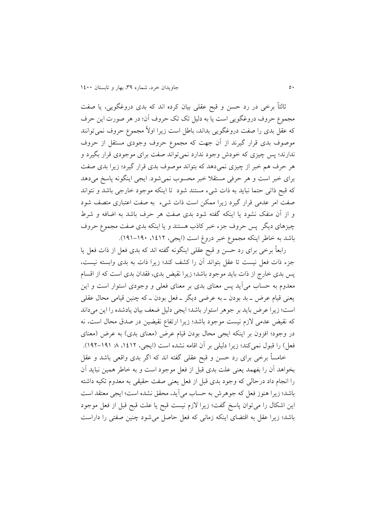ثالثاً برخی در رد حسن و قبح عقلی بیان کرده اند که بدی دروغگویی، یا صفت مجموع حروف دروغگويي است يا به دليل تک تک حروف آن؛ در هر صورت اين حرف که عقل بدی را صفت دروغگويی بداند، باطل است زيرا اولاً مجموع حروف نمیتوانند موصوف بدی قرار گیرند از آن جهت که مجموع حروف وجودی مستقل از حروف ندارند؛ پس چیزی که خودش وجود ندارد نمیتواند صفت برای موجودی قرار بگیرد و هر حرف هم خبر از چیزی نمیدهد که بتواند موصوف بدی قرار گیرد؛ زیرا بدی صفت برای خبر است و هر حرفی مستقلا خبر محسوب نمی شود. ايجی اينگونه پاسخ میدهد که قبح ذاتی حتما نبايد به ذات شیء مستند شود تا اينکه موجود خارجی باشد و نتواند صفت امر عدمی قرار گیرد زیرا ممکن است ذات شیء به صفت اعتباری متصف شود و از آن منفک نشود يا اينکه گفته شود بدی صفت هر حرف باشد به اضافه و شرط چیزهای دیگر پس حروف جزء خبر کاذب هستند و یا اینکه بدی صفت مجموع حروف باشد به خاطر اينکه مجموع خبر دروغ است (ايجی، ١٤١٢ه. ١٩٠٠–١٩١).

رابعاً برخی برای رد حسن و قبح عقلی اينگونه گفته اند که بدی فعل از ذات فعل يا جزء ذات فعل نیست تا عقل بتواند آن را کشف کند؛ زیرا ذات به بدی وابسته نیست، پس بدی خارج از ذات بايد موجود باشد؛ زيرا نقيض بدی، فقدان بدی است که از اقسام معدوم به حساب می آيد پس معنای بدی بر معنای فعلی و وجودی استوار است و اين يعنی قیام عرض ـ بد بودن ــ به عرضی ديگر ــ فعل بودن ــ که چنین قیامی محال عقلی است؛ زيرا عرض بايد بر جوهر استوار باشد؛ ايجي دليل ضعف بيان يادشده را اين مي داند که نقیض عدمی لازم نیست موجود باشد؛ زیرا ارتفاع نقیضین در صدق محال است، نه در وجود؛ افزون بر اینکه ایجی محال بودن قیام عرض (معنای بدی) به عرض (معنای فعل) را قبول نمیکند؛ زيرا دليلی بر آن اقامه نشده است (ايجی، ١٤١٢، ٨ ١٩١-١٩٢).

خامساً برخی برای رد حسن و قبح عقلی گفته اند که اگر بدی واقعی باشد و عقل بخواهد آن را بفهمد يعنی علت بدی قبل از فعل موجود است و به خاطر همین نباید آن را انجام داد درحالی که وجود بدی قبل از فعل يعنی صفت حقیقی به معدوم تکیه داشته باشد؛ زيرا هنوز فعل که جوهرش به حساب می آيد، محقق نشده است؛ ايجي معتقد است اين اشکال را می توان پاسخ گفت؛ زيرا لازم نيست قبح يا علت قبح قبل از فعل موجود باشد؛ زيرا عقل به اقتضای اينکه زمانی که فعل حاصل می شود چنين صفتی را داراست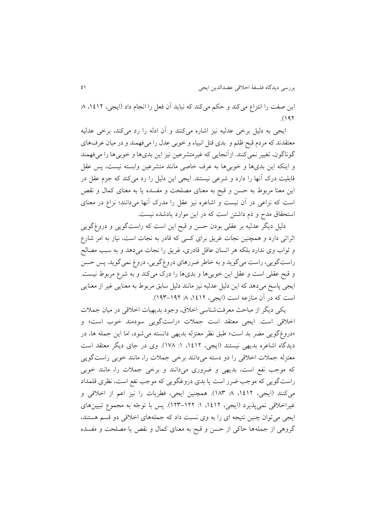اين صفت را انتزاع می کند و حکم می کند که نبايد آن فعل را انجام داد (ايجی، ۱٤١٢، ۸:  $(197)$ 

ايجی به دلیل برخی عدلیه نیز اشاره میکنند و آن ادله را رد میکند، برخی عدلیه معتقدند که مردم قبح ظلم و بدی قتل انبیاء و خوبی عدل را میفهمند و در میان عرفهای گوناگون، تغییر نمیکنند. ازآنجایی که غیرمتشرعین نیز این بدیها و خوبی ها را میفهمند و اینکه این بدیها و خوبیها به عرف خاصی مانند متشرعین وابسته نیست، پس عقل قابلیت درک آنها را دارد و شرعی نیستند. ايجی اين دلیل را رد میکند که جزم عقل در اين معنا مربوط به حسن و قبح به معنای مصلحت و مفسده يا به معنای کمال و نقص است که نزاعی در آن نیست و اشاعره نیز عقل را مدرک آنها میدانند؛ نزاع در معنای استحقاق مدح و ذم داشتن است که در اين موارد يادشده نيست.

دلیل دیگر عدلیه بر عقلی بودن حسن و قبح اين است كه راستگويی و دروغگويی اثراتی دارد و همچنین نجات غريق برای کسی که قادر به نجات است، نیار به امر شارع و ثواب وی ندارد بلکه هر انسان عاقل قادری، غريق را نجات می دهد و به سبب مصالح راست گويي، راست مي گويد و به خاطر ضررهاي دروغ گويي، دروغ نمي گويد. پس حسن و قبح عقلی است و عقل این خوبی ها و بدی ها را درک میکند و به شرع مربوط نیست. ايجی پاسخ میدهد که اين دليل عدليه نيز مانند دليل سابق مربوط به معنايی غير از معنايی است که در آن منازعه است (ايجی، ۱۶۱۲، ۸: ۱۹۲–۱۹۳).

يکی ديگر ار مباحث معرفتشناسی اخالق، وج د بديهیات اخالقی در میان جمالت اخلاقی است. ايجی معتقد است جملات «راستگويی سودمند خوب است» و «دروغگويی مضر بد است» طبق نظر معتزله بديهی دانسته می شود، اما اين جمله ها، در ديدگاه اشاعره بديهی نيستند (ايجی، ١٤١٢، ١: ١٧٨). وی در جای ديگر معتقد است معتزله جملات اخلاقی را دو دسته میدانند برخی جملات را، مانند خوبی راستگویی که موجب نفع است، بديهی و ضروری میدانند و برخی جملات را، مانند خوبی راستگويی که موجب ضرر است يا بدی دروغگويی که موجب نفع است، نظری قلمداد میکنند (ايجی، ۱۶۱۲، ۸: ۱۸۳). همچنین ايجی، فطريات را نیز اعم از اخلاقی و غیراخلاقی نمیپذیرد (ایجی، ۱۶۱۲-۱۲۳-۱۲۳). پس با توجّه به مجموع تبیینهای ایجی می توان چنین نتیجه ای را به وی نسبت داد که جملههای اخلاقی دو قسم هستند، گروهی ار جملهها حاکی ار حسن و قبح به معنای کمال و نقص يا مصلحت و مفسده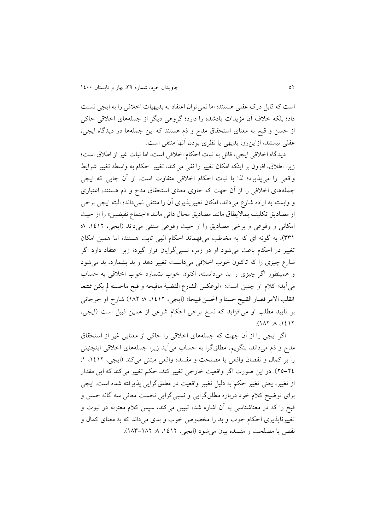است که قابل درک عقلی هستند؛ اما نمیت ان اعتقاد به بديهیات اخالقی را به ايجی نسبت داد؛ بلکه خالف آن مؤيدات يادشده را دارد؛ گروهی ديگر ار جملههای اخالقی حاکی ار حسن و قبح به معنای استحقاق مدح و ذم هستند که اين جملهها در ديدگاه ايجی، عقلی نیستند، ازاین رو، بدیهی یا نظری بودن آنها منتفی است.

ديدگاه اخالقی ايجی، قائل به ثبات احکام اخالقی است، اما ثبات غیر ار اطالق است؛ ريرا اطالق، افزون بر اينکه امکان تغییر را نفی میکند، تغییر احکام به واسطه تغییر شرايط واقعی را میپذيرد؛ لذا با ثبات احکام اخالقی متفاوت است. ار آن جايی که ايجی جملههای اخالقی را ار آن جهت که حاوی معنای استحقاق مدح و ذم هستند، اعتباری و وابسته به اراده شارع میداند، امکان تغییرپذيری آن را منتفی نمیداند؛ البته ايجی برخی ار مصاديق تکلیف بمااليطاق مانند مصاديق محال ذاتی مانند »اجتماع نقیضین« را ار حیث امکانی و وقوعی و برخی مصادیق را از حیث وقوعی منتفی می داند (ایجی، ۱۶۱۲، ۸: (٣٣)، به گونه ای که به مخاطب میفهماند احکام الهی ثابت هستند؛ اما همین امکان تغییر در احکام باعث میش د او در رمره نسبیگرايان قرار گیرد؛ ريرا اعتقاد دارد اگر شارع چیزی را که تاکنون خوب اخلاقی میدانست تغییر دهد و بد بشمارد، بد میشود و همینطور اگر چیزی را بد میدانسته، اکنون خوب بشمارد خوب اخلاقی به حساب میآيد؛ کلام او چنین است: «لوعکس الشارع القضیة ماقبحه و قبح ماحسنه لم یکن ممتنعا انقلب الامر فصار القبیح حسنا و الحسن قبیحا» (ایجی، ۱۶۱۲، ۸: ۱۸۲) شارح او جرجانی بر تأيید مطلب او میافزايد که نسخ برخی احکام شرعی ار همین قبیل است )ايجی،  $(113.4 \times 12)$ 

اگر ايجی را ار آن جهت که جملههای اخالقی را حاکی ار معنايی غیر ار استحقاق مدح و ذم میداند، بنگريم، مطلقگرا به حساب میآيد ريرا جملههای اخالقی اينچنینی را بر کمال و نقصان واقعی يا مصلحت و مفسده واقعی مبتنی میکند (ايجی، ١٤١٢، ١: ٢٤-٢٥). در اين صورت اگر واقعیت خارجی تغییر کند، حکم تغییر میکند که اين مقدار ار تغییر، يعنی تغییر حکم به دلیل تغییر واقعیت در مطلقگرايی پذيرفته شده است. ايجی برای توضیح کلام خود درباره مطلقگرايی و نسبیگرايی نخست معانی سه گانه حسن و قبح را که در معناشناسی به آن اشاره شد، تبیین میکند، سپس کلام معتزله در ثبوت و تغییرناپذیری احکام خوب و بد را مخصوص خوب و بدی میداند که به معنای کمال و نقص يا مصلحت و مفسده بيان می شود (ايجی، ١٤١٢ ٨٨ -١٨٣-١٨٣).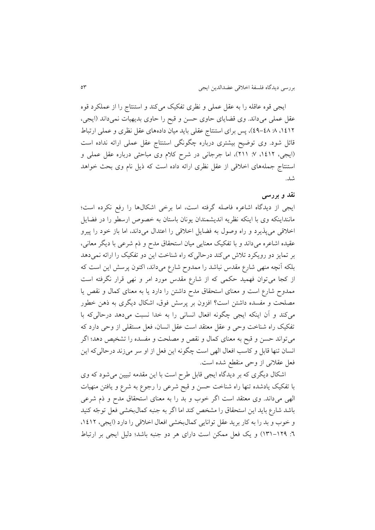ايجی قوه عاقله را به عقل عملی و نظری تفکیک میکند و استنتاج را از عملکرد قوه عقل عملی میداند. وی قضايای حاوی حسن و قبح را حاوی بديهیات نمیداند )ايجی، ،0302 :3 33-33(، پس برای استنتاج عقلی بايد میان دادههای عقل نظری و عملی ارتباط قائل شود. وی توضیح بیشتری درباره چگونگی استنتاج عقل عملی ارائه نداده است (ايجی، ۱۶۱۲، ۷: ۲۱۱)، اما جرجانی در شرح کلام وی مباحثی درباره عقل عملی و استنتاج جملههای اخلاقی از عقل نظری ارائه داده است که ذيل نام وی بحث خواهد شد.

### **نقد و بررسی**

ايجی ار ديدگاه اشاعره فاصله گرفته است، اما برخی اشکالها را رفع نکرده است؛ ماننداينکه وی با اينکه نظريه انديشمندان يونان باستان به خصوص ارسطو را در فضايل اخلاقی میپذيرد و راه وصول به فضايل اخلاقی را اعتدال میداند، اما باز خود را پیرو عقیده اشاعره میداند و با تفکیک معنايی میان استحقاق مدح و ذم شرعی با ديگر معانی، بر تمايز دو رويکرد تالش میکند درحالیکه راه شناخت اين دو تفکیک را ارائه نمیدهد بلکه آنچه منهی شارع مقدس نباشد را ممدوح شارع میداند، اکنون پرسش این است که از کجا میتوان فهمید حکمی که از شارع مقدس مورد امر و نهی قرار نگرفته است ممدوح شارع است و معنای استحقاق مدح داشتن را دارد يا به معنای کمال و نقص يا مصلحت و مفسده داشتن است؟ افزون بر پرسش فوق، اشکال دیگری به ذهن خطور میکند و آن اينکه ايجی چگ نه افعال انسانی را به خدا نسبت میدهد درحالیکه با تفکیک راه شناخت وحی و عقل معتقد است عقل انسان، فعل مستقلی ار وحی دارد که میت اند حسن و قبح به معنای کمال و نقص و مصلحت و مفسده را تشخیص دهد؛ اگر انسان تنها قابل و کاسب افعال الهی است چگ نه اين فعل ار او سر میرند درحالیکه اين فعل عقالنی ار وحی منقطع شده است.

اشکال ديگری که بر ديدگاه ايجی قابل طرح است با اين مقدمه تبیین میش د که وی با تفکیک يادشده تنها راه شناخت حسن و قبح شرعی را رجوع به شرع و يافتن منهيات الهی میداند. وی معتقد است اگر خوب و بد را به معنای استحقاق مدح و ذم شرعی باشد شارع بايد اين استحقاق را مشخص کند اما اگر به جنبه کمالبخشی فعل توجّه کنيد و خوب و بد را به کار بريد عقل توانايی کمالبخشی افعال اخلاقی را دارد (ايجی، ١٤١٢، :3 040-023( و يک فعل ممکن است دارای هر دو جنبه باشد؛ دلیل ايجی بر ارتباط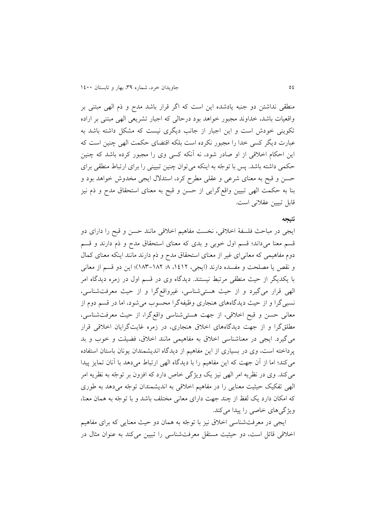منطقی نداشتن دو جنبه يادشده اين است که اگر قرار باشد مدح و ذم الهی مبتنی بر واقعیات باشد، خداوند مجبور خواهد بود درحالی که اجبار تشریعی الهی مبتنی بر اراده تکوينی خودش است و اين اجبار از جانب ديگری نيست که مشکل داشته باشد به عبارت ديگر کسی خدا را مجبور نکرده است بلکه اقتضای حکمت الهی چنین است که این احکام اخلاقی از او صادر شود، نه آنکه کسی وی را مجبور کرده باشد که چنین حکمی داشته باشد. پس با توجّه به اینکه میتوان چنین تبیینی را برای ارتباط منطقی برای حسن و قبح به معنای شرعی و عقلی مطرح کرد، استدلال ایجی مخدوش خواهد بود و بنا به حکمت الهی تبیین واقعگرايی ار حسن و قبح به معنای استحقاق مدح و ذم نیز قابل تبیین عقالنی است.

#### **نتیجه**

ايجی در مباحث فلسفة اخالقی، نخست مفاهیم اخالقی مانند حسن و قبح را دارای دو قسم معنا میداند؛ قسم اول خوبی و بدی که معنای استحقاق مدح و ذم دارند و قسم دوم مفاهیمی که معانیای غیر ار معنای استحقاق مدح و ذم دارند مانند اينکه معنای کمال و نقص يا مصلحت و مفسده دارند (ايجي، ١٤١٢، ٨ ١٨٢-١٨٣)؛ اين دو قسم از معاني با يکديگر ار حیث منطقی مرتبط نیستند. ديدگاه وی در قسم اول در رمره ديدگاه امر الهی قرار میگیرد و ار حیث هستیشناسی، غیرواقعگرا و ار حیث معرفتشناسی، نسبیگرا و از حیث دیدگاههای هنجاری وظیفهگرا محسوب میشود، اما در قسم دوم از معانی حسن و قبح اخالقی، ار جهت هستیشناسی واقعگرا، ار حیث معرفتشناسی، مطلقگرا و ار جهت ديدگاههای اخالق هنجاری، در رمره غايتگرايان اخالقی قرار می گیرد. ایجی در معناشناسی اخلاق به مفاهیمی مانند اخلاق، فضیلت و خوب و بد پرداخته است، وی در بسیاری از اين مفاهیم از ديدگاه انديشمندان يونان باستان استفاده میکند؛ اما ار آن جهت که اين مفاهیم را با ديدگاه الهی ارتباط میدهد با آنان تمايز پیدا میکند. وی در نظريه امر الهی نيز يک ويژگی خاص دارد که افزون بر توجّه به نظريه امر الهی تفکیک حیثیت معنایی را در مفاهیم اخلاقی به اندیشمندان توجّه میدهد به طوری که امکان دارد يک لفظ از چند جهت دارای معانی مختلف باشد و با توجّه به همان معنا، ويژگیهای خاصی را پیدا میکند.

ايجی در معرفتشناسی اخلاق نیز با توجّه به همان دو حیث معنایی که برای مفاهیم اخلاقی قائل است، دو حیثیت مستقل معرفتشناسی را تبیین میکند به عنوان مثال در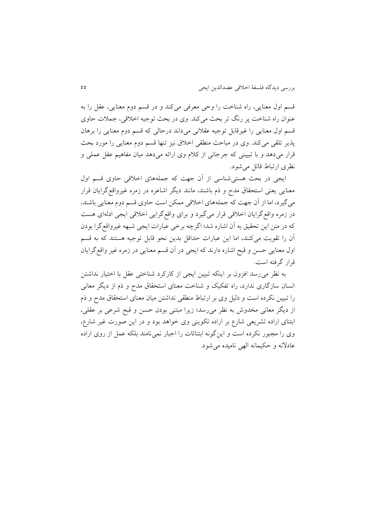قسم اول معنايی، راه شناخت را وحی معرفی میکند و در قسم دوم معنايی، عقل را به عنوان راه شناخت پر رنگ تر بحث میکند. وی در بحث توجیه اخلاقی، جملات حاوی قسم اول معنايی را غیرقابل توجیه عقلانی میداند درحالی که قسم دوم معنایی را برهان پذير تلقی میکند. وی در مباحث منطقی اخلاق نیز تنها قسم دوم معنايی را مورد بحث قرار میدهد و با تبیینی که جرجانی ار کالم وی ارائه میدهد میان مفاهیم عقل عملی و نظری ارتباط قائل می شود.

ايجی در بحث هستیشناسی ار آن جهت که جملههای اخالقی حاوی قسم اول معنايی يعنی استحقاق مدح و ذم باشند، مانند ديگر اشاعره در رمره غیرواقعگرايان قرار میگیرد، اما ار آن جهت که جملههای اخالقی ممکن است حاوی قسم دوم معنايی باشند، در رمره واقعگرايان اخالقی قرار میگیرد و برای واقعگرايی اخالقی ايجی ادلهای هست که در متن اين تحقيق به آن اشاره شد؛ اگرچه برخی عبارات ايجي شبهه غيرواقع گرا بودن آن را تقويت میکنند، اما اين عبارات حداقل بدين نحو قابل توجيه هستند که به قسم اول معنايی حسن و قبح اشاره دارند که ايجی در آن قسم معنايی در رمره غیر واقعگرايان قرار گرفته است.

به نظر میرسد افزون بر اينکه تبیین ايجی ار کارکرد شناختی عقل با اختیار نداشتن انسان سارگاری ندارد، راه تفکیک و شناخت معنای استحقاق مدح و ذم ار ديگر معانی را تبیین نکرده است و دلیل وی بر ارتباط منطقی نداشتن میان معنای استحقاق مدح و ذم ار ديگر معانی مخدوش به نظر میرسد؛ ريرا مبتنی ب دن حسن و قبح شرعی بر عقلی، ابتنای اراده تشريعی شارع بر اراده تكوينی وی خواهد بود و در اين صورت غیر شارع، وی را مجبور نکرده است و اينگونه ابتنائات را اجبار نمی نامند بلکه عمل از روی اراده عادالنه و حکیمانه الهی نامیده میش د.